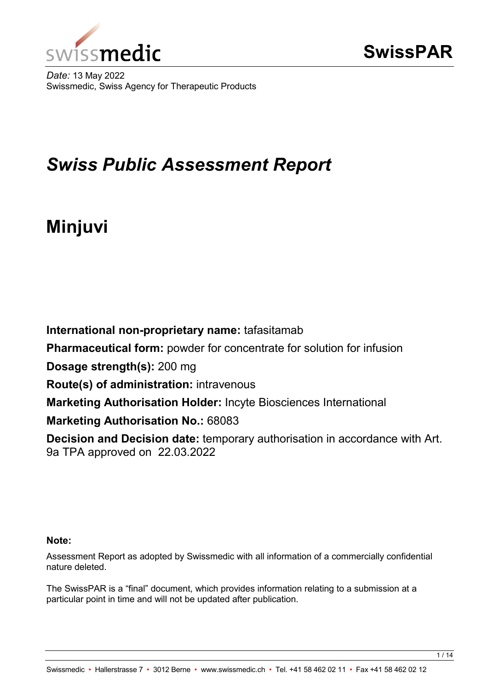

*Date:* 13 May 2022 Swissmedic, Swiss Agency for Therapeutic Products

## *Swiss Public Assessment Report*

# **Minjuvi**

**International non-proprietary name:** tafasitamab **Pharmaceutical form:** powder for concentrate for solution for infusion **Dosage strength(s):** 200 mg **Route(s) of administration:** intravenous **Marketing Authorisation Holder:** Incyte Biosciences International **Marketing Authorisation No.:** 68083 **Decision and Decision date:** temporary authorisation in accordance with Art. 9a TPA approved on 22.03.2022

#### **Note:**

Assessment Report as adopted by Swissmedic with all information of a commercially confidential nature deleted.

The SwissPAR is a "final" document, which provides information relating to a submission at a particular point in time and will not be updated after publication.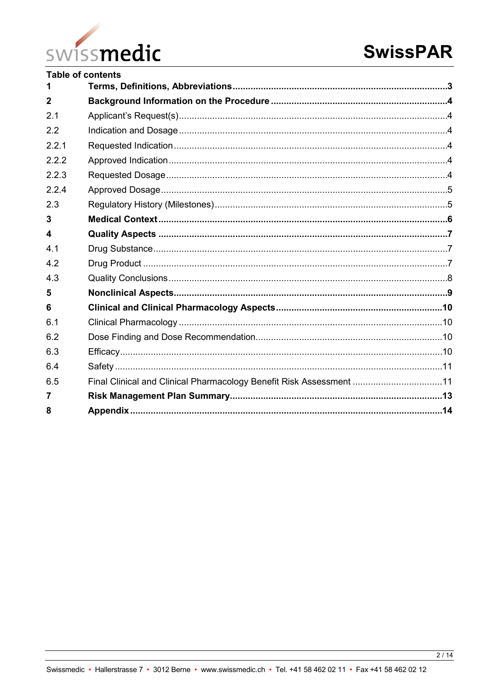

|                       | <b>Table of contents</b>                                            |  |
|-----------------------|---------------------------------------------------------------------|--|
| 1                     |                                                                     |  |
| $\overline{2}$        |                                                                     |  |
| 2.1                   |                                                                     |  |
| 2.2                   |                                                                     |  |
| 2.2.1                 |                                                                     |  |
| 2.2.2                 |                                                                     |  |
| 2.2.3                 |                                                                     |  |
| 2.2.4                 |                                                                     |  |
| 2.3                   |                                                                     |  |
| $\overline{3}$        |                                                                     |  |
| $\boldsymbol{\Delta}$ |                                                                     |  |
| 4.1                   |                                                                     |  |
| 4.2                   |                                                                     |  |
| 4.3                   |                                                                     |  |
| 5                     |                                                                     |  |
| 6                     |                                                                     |  |
| 6.1                   |                                                                     |  |
| 6.2                   |                                                                     |  |
| 6.3                   |                                                                     |  |
| 6.4                   |                                                                     |  |
| 6.5                   | Final Clinical and Clinical Pharmacology Benefit Risk Assessment 11 |  |
| $\overline{7}$        |                                                                     |  |
| 8                     |                                                                     |  |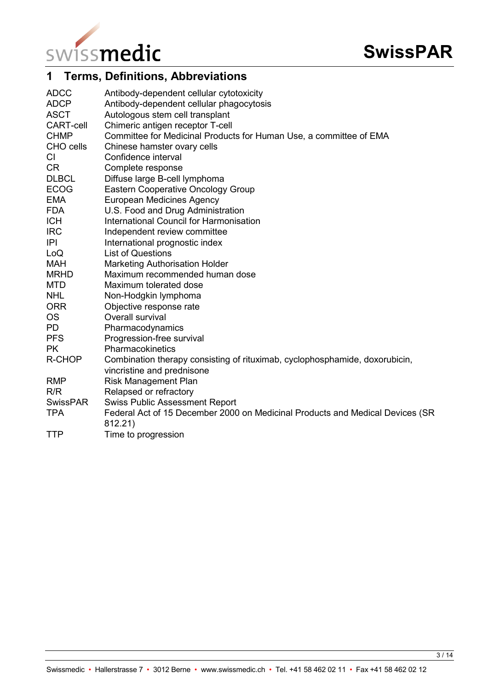

## <span id="page-2-0"></span>**1 Terms, Definitions, Abbreviations**

| <b>ADCC</b><br><b>ADCP</b> | Antibody-dependent cellular cytotoxicity<br>Antibody-dependent cellular phagocytosis                      |
|----------------------------|-----------------------------------------------------------------------------------------------------------|
| <b>ASCT</b>                | Autologous stem cell transplant                                                                           |
| <b>CART-cell</b>           | Chimeric antigen receptor T-cell                                                                          |
| <b>CHMP</b>                | Committee for Medicinal Products for Human Use, a committee of EMA                                        |
| CHO cells                  | Chinese hamster ovary cells                                                                               |
| CI                         | Confidence interval                                                                                       |
| <b>CR</b>                  | Complete response                                                                                         |
| <b>DLBCL</b>               | Diffuse large B-cell lymphoma                                                                             |
| <b>ECOG</b>                | <b>Eastern Cooperative Oncology Group</b>                                                                 |
| <b>EMA</b>                 | <b>European Medicines Agency</b>                                                                          |
| <b>FDA</b>                 | U.S. Food and Drug Administration                                                                         |
| <b>ICH</b>                 | <b>International Council for Harmonisation</b>                                                            |
| <b>IRC</b>                 | Independent review committee                                                                              |
| P                          | International prognostic index                                                                            |
| LoQ                        | <b>List of Questions</b>                                                                                  |
| <b>MAH</b>                 | <b>Marketing Authorisation Holder</b>                                                                     |
| <b>MRHD</b>                | Maximum recommended human dose                                                                            |
| <b>MTD</b>                 | Maximum tolerated dose                                                                                    |
| <b>NHL</b>                 | Non-Hodgkin lymphoma                                                                                      |
| <b>ORR</b>                 | Objective response rate                                                                                   |
| <b>OS</b>                  | Overall survival                                                                                          |
| <b>PD</b>                  | Pharmacodynamics                                                                                          |
| <b>PFS</b>                 | Progression-free survival                                                                                 |
| <b>PK</b>                  | Pharmacokinetics                                                                                          |
| R-CHOP                     | Combination therapy consisting of rituximab, cyclophosphamide, doxorubicin,<br>vincristine and prednisone |
| <b>RMP</b>                 | <b>Risk Management Plan</b>                                                                               |
| R/R                        | Relapsed or refractory                                                                                    |
| <b>SwissPAR</b>            | <b>Swiss Public Assessment Report</b>                                                                     |
| <b>TPA</b>                 | Federal Act of 15 December 2000 on Medicinal Products and Medical Devices (SR<br>812.21)                  |
| <b>TTP</b>                 | Time to progression                                                                                       |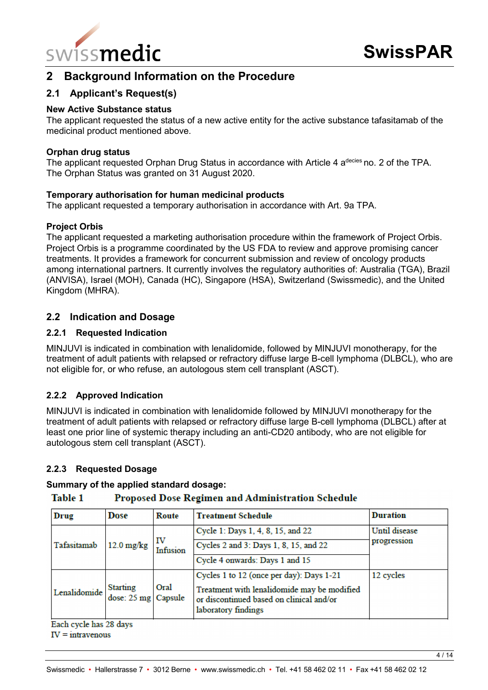

## <span id="page-3-0"></span>**2 Background Information on the Procedure**

#### <span id="page-3-1"></span>**2.1 Applicant's Request(s)**

#### **New Active Substance status**

The applicant requested the status of a new active entity for the active substance tafasitamab of the medicinal product mentioned above.

#### **Orphan drug status**

The applicant requested Orphan Drug Status in accordance with Article 4 a<sup>decies</sup> no. 2 of the TPA. The Orphan Status was granted on 31 August 2020.

#### **Temporary authorisation for human medicinal products**

The applicant requested a temporary authorisation in accordance with Art. 9a TPA.

#### **Project Orbis**

The applicant requested a marketing authorisation procedure within the framework of Project Orbis. Project Orbis is a programme coordinated by the US FDA to review and approve promising cancer treatments. It provides a framework for concurrent submission and review of oncology products among international partners. It currently involves the regulatory authorities of: Australia (TGA), Brazil (ANVISA), Israel (MOH), Canada (HC), Singapore (HSA), Switzerland (Swissmedic), and the United Kingdom (MHRA).

#### <span id="page-3-2"></span>**2.2 Indication and Dosage**

#### <span id="page-3-3"></span>**2.2.1 Requested Indication**

MINJUVI is indicated in combination with lenalidomide, followed by MINJUVI monotherapy, for the treatment of adult patients with relapsed or refractory diffuse large B-cell lymphoma (DLBCL), who are not eligible for, or who refuse, an autologous stem cell transplant (ASCT).

#### <span id="page-3-4"></span>**2.2.2 Approved Indication**

MINJUVI is indicated in combination with lenalidomide followed by MINJUVI monotherapy for the treatment of adult patients with relapsed or refractory diffuse large B-cell lymphoma (DLBCL) after at least one prior line of systemic therapy including an anti-CD20 antibody, who are not eligible for autologous stem cell transplant (ASCT).

#### <span id="page-3-5"></span>**2.2.3 Requested Dosage**

#### **Summary of the applied standard dosage:**

#### **Table 1 Proposed Dose Regimen and Administration Schedule**

| Drug         | Dose                                                     | Route                                                                                                          | <b>Treatment Schedule</b>                | <b>Duration</b> |
|--------------|----------------------------------------------------------|----------------------------------------------------------------------------------------------------------------|------------------------------------------|-----------------|
|              |                                                          |                                                                                                                | Cycle 1: Days 1, 4, 8, 15, and 22        | Until disease   |
| Tafasitamab  | $12.0 \text{ mg/kg}$                                     | IV<br>Infusion                                                                                                 | Cycles 2 and 3: Days 1, 8, 15, and 22    | progression     |
|              |                                                          |                                                                                                                | Cycle 4 onwards: Days 1 and 15           |                 |
|              |                                                          |                                                                                                                | Cycles 1 to 12 (once per day): Days 1-21 | 12 cycles       |
| Lenalidomide | <b>Starting</b><br>Oral<br>dose: $25 \text{ mg}$ Capsule | Treatment with lenalidomide may be modified<br>or discontinued based on clinical and/or<br>laboratory findings |                                          |                 |

Each cycle has 28 days

 $IV = intravenous$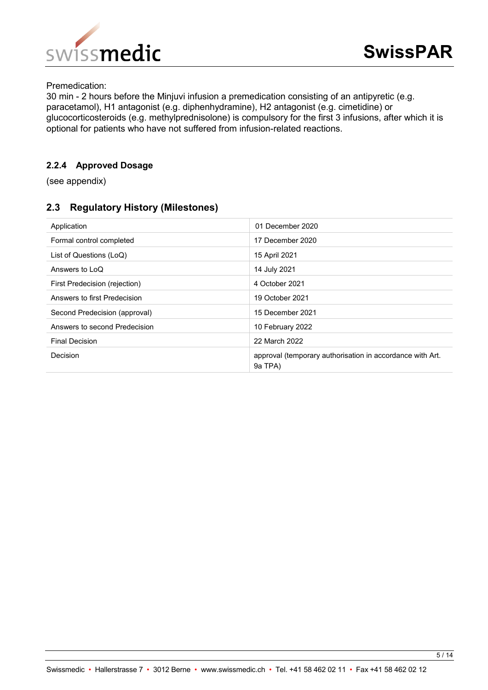

Premedication:

30 min - 2 hours before the Minjuvi infusion a premedication consisting of an antipyretic (e.g. paracetamol), H1 antagonist (e.g. diphenhydramine), H2 antagonist (e.g. cimetidine) or glucocorticosteroids (e.g. methylprednisolone) is compulsory for the first 3 infusions, after which it is optional for patients who have not suffered from infusion-related reactions.

#### <span id="page-4-0"></span>**2.2.4 Approved Dosage**

(see appendix)

#### <span id="page-4-1"></span>**2.3 Regulatory History (Milestones)**

| Application                   | 01 December 2020                                                     |
|-------------------------------|----------------------------------------------------------------------|
| Formal control completed      | 17 December 2020                                                     |
| List of Questions (LoQ)       | 15 April 2021                                                        |
| Answers to LoQ                | 14 July 2021                                                         |
| First Predecision (rejection) | 4 October 2021                                                       |
| Answers to first Predecision  | 19 October 2021                                                      |
| Second Predecision (approval) | 15 December 2021                                                     |
| Answers to second Predecision | 10 February 2022                                                     |
| <b>Final Decision</b>         | 22 March 2022                                                        |
| Decision                      | approval (temporary authorisation in accordance with Art.<br>9a TPA) |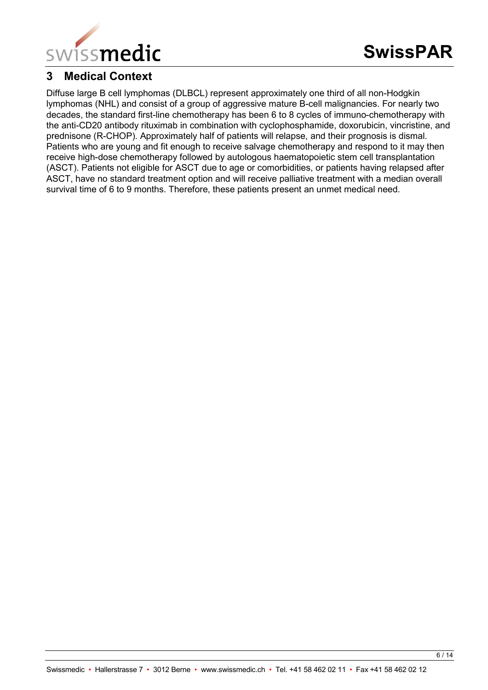

## <span id="page-5-0"></span>**3 Medical Context**

Diffuse large B cell lymphomas (DLBCL) represent approximately one third of all non-Hodgkin lymphomas (NHL) and consist of a group of aggressive mature B-cell malignancies. For nearly two decades, the standard first-line chemotherapy has been 6 to 8 cycles of immuno-chemotherapy with the anti-CD20 antibody rituximab in combination with cyclophosphamide, doxorubicin, vincristine, and prednisone (R-CHOP). Approximately half of patients will relapse, and their prognosis is dismal. Patients who are young and fit enough to receive salvage chemotherapy and respond to it may then receive high-dose chemotherapy followed by autologous haematopoietic stem cell transplantation (ASCT). Patients not eligible for ASCT due to age or comorbidities, or patients having relapsed after ASCT, have no standard treatment option and will receive palliative treatment with a median overall survival time of 6 to 9 months. Therefore, these patients present an unmet medical need.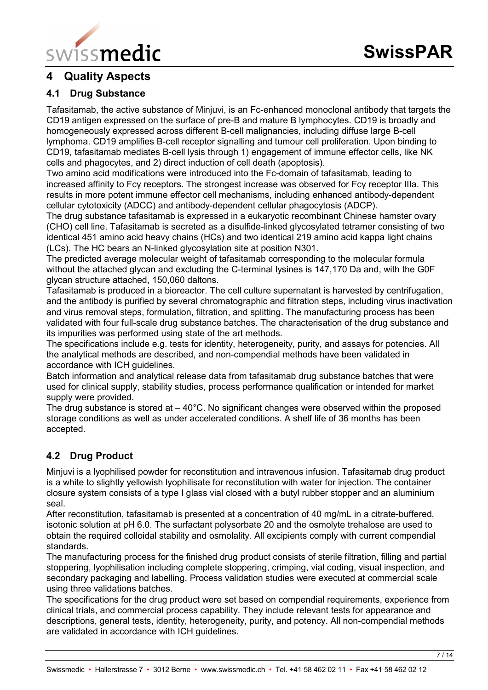

## <span id="page-6-0"></span>**4 Quality Aspects**

#### <span id="page-6-1"></span>**4.1 Drug Substance**

Tafasitamab, the active substance of Minjuvi, is an Fc-enhanced monoclonal antibody that targets the CD19 antigen expressed on the surface of pre-B and mature B lymphocytes. CD19 is broadly and homogeneously expressed across different B-cell malignancies, including diffuse large B-cell lymphoma. CD19 amplifies B-cell receptor signalling and tumour cell proliferation. Upon binding to CD19, tafasitamab mediates B-cell lysis through 1) engagement of immune effector cells, like NK cells and phagocytes, and 2) direct induction of cell death (apoptosis).

Two amino acid modifications were introduced into the Fc-domain of tafasitamab, leading to increased affinity to Fcγ receptors. The strongest increase was observed for Fcγ receptor IIIa. This results in more potent immune effector cell mechanisms, including enhanced antibody-dependent cellular cytotoxicity (ADCC) and antibody-dependent cellular phagocytosis (ADCP).

The drug substance tafasitamab is expressed in a eukaryotic recombinant Chinese hamster ovary (CHO) cell line. Tafasitamab is secreted as a disulfide-linked glycosylated tetramer consisting of two identical 451 amino acid heavy chains (HCs) and two identical 219 amino acid kappa light chains (LCs). The HC bears an N-linked glycosylation site at position N301.

The predicted average molecular weight of tafasitamab corresponding to the molecular formula without the attached glycan and excluding the C-terminal lysines is 147,170 Da and, with the G0F glycan structure attached, 150,060 daltons.

Tafasitamab is produced in a bioreactor. The cell culture supernatant is harvested by centrifugation, and the antibody is purified by several chromatographic and filtration steps, including virus inactivation and virus removal steps, formulation, filtration, and splitting. The manufacturing process has been validated with four full-scale drug substance batches. The characterisation of the drug substance and its impurities was performed using state of the art methods.

The specifications include e.g. tests for identity, heterogeneity, purity, and assays for potencies. All the analytical methods are described, and non-compendial methods have been validated in accordance with ICH guidelines.

Batch information and analytical release data from tafasitamab drug substance batches that were used for clinical supply, stability studies, process performance qualification or intended for market supply were provided.

The drug substance is stored at  $-40^{\circ}$ C. No significant changes were observed within the proposed storage conditions as well as under accelerated conditions. A shelf life of 36 months has been accepted.

## <span id="page-6-2"></span>**4.2 Drug Product**

Minjuvi is a lyophilised powder for reconstitution and intravenous infusion. Tafasitamab drug product is a white to slightly yellowish lyophilisate for reconstitution with water for injection. The container closure system consists of a type I glass vial closed with a butyl rubber stopper and an aluminium seal.

After reconstitution, tafasitamab is presented at a concentration of 40 mg/mL in a citrate-buffered, isotonic solution at pH 6.0. The surfactant polysorbate 20 and the osmolyte trehalose are used to obtain the required colloidal stability and osmolality. All excipients comply with current compendial standards.

The manufacturing process for the finished drug product consists of sterile filtration, filling and partial stoppering, lyophilisation including complete stoppering, crimping, vial coding, visual inspection, and secondary packaging and labelling. Process validation studies were executed at commercial scale using three validations batches.

The specifications for the drug product were set based on compendial requirements, experience from clinical trials, and commercial process capability. They include relevant tests for appearance and descriptions, general tests, identity, heterogeneity, purity, and potency. All non-compendial methods are validated in accordance with ICH guidelines.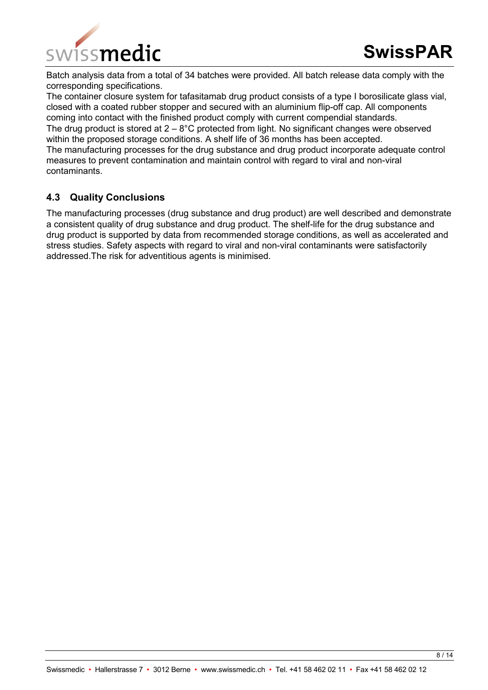

Batch analysis data from a total of 34 batches were provided. All batch release data comply with the corresponding specifications.

The container closure system for tafasitamab drug product consists of a type I borosilicate glass vial, closed with a coated rubber stopper and secured with an aluminium flip-off cap. All components coming into contact with the finished product comply with current compendial standards. The drug product is stored at  $2 - 8^{\circ}$ C protected from light. No significant changes were observed within the proposed storage conditions. A shelf life of 36 months has been accepted. The manufacturing processes for the drug substance and drug product incorporate adequate control measures to prevent contamination and maintain control with regard to viral and non-viral contaminants.

#### <span id="page-7-0"></span>**4.3 Quality Conclusions**

The manufacturing processes (drug substance and drug product) are well described and demonstrate a consistent quality of drug substance and drug product. The shelf-life for the drug substance and drug product is supported by data from recommended storage conditions, as well as accelerated and stress studies. Safety aspects with regard to viral and non-viral contaminants were satisfactorily addressed.The risk for adventitious agents is minimised.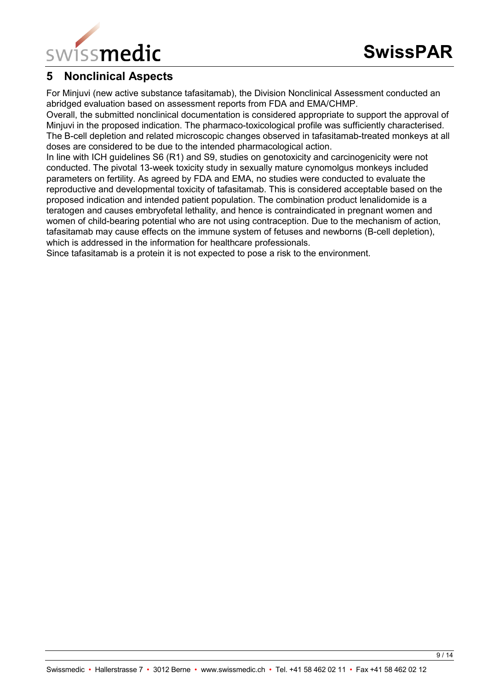

## <span id="page-8-0"></span>**5 Nonclinical Aspects**

For Minjuvi (new active substance tafasitamab), the Division Nonclinical Assessment conducted an abridged evaluation based on assessment reports from FDA and EMA/CHMP.

Overall, the submitted nonclinical documentation is considered appropriate to support the approval of Minjuvi in the proposed indication. The pharmaco-toxicological profile was sufficiently characterised. The B-cell depletion and related microscopic changes observed in tafasitamab-treated monkeys at all doses are considered to be due to the intended pharmacological action.

In line with ICH guidelines S6 (R1) and S9, studies on genotoxicity and carcinogenicity were not conducted. The pivotal 13-week toxicity study in sexually mature cynomolgus monkeys included parameters on fertility. As agreed by FDA and EMA, no studies were conducted to evaluate the reproductive and developmental toxicity of tafasitamab. This is considered acceptable based on the proposed indication and intended patient population. The combination product lenalidomide is a teratogen and causes embryofetal lethality, and hence is contraindicated in pregnant women and women of child-bearing potential who are not using contraception. Due to the mechanism of action, tafasitamab may cause effects on the immune system of fetuses and newborns (B-cell depletion), which is addressed in the information for healthcare professionals.

Since tafasitamab is a protein it is not expected to pose a risk to the environment.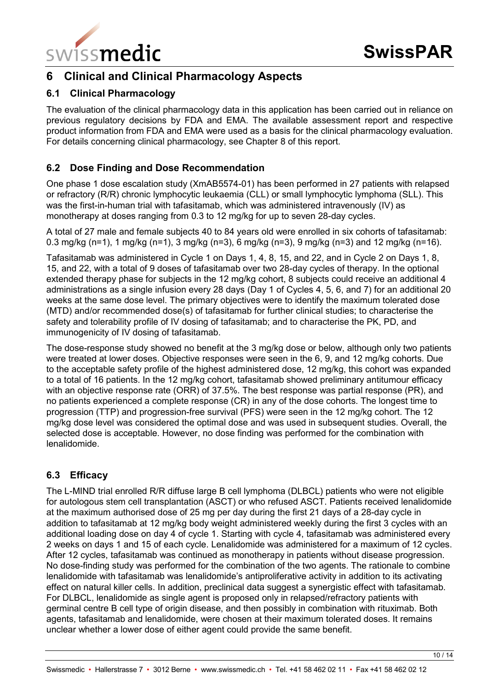

## <span id="page-9-0"></span>**6 Clinical and Clinical Pharmacology Aspects**

### <span id="page-9-1"></span>**6.1 Clinical Pharmacology**

The evaluation of the clinical pharmacology data in this application has been carried out in reliance on previous regulatory decisions by FDA and EMA. The available assessment report and respective product information from FDA and EMA were used as a basis for the clinical pharmacology evaluation. For details concerning clinical pharmacology, see Chapter 8 of this report.

### <span id="page-9-2"></span>**6.2 Dose Finding and Dose Recommendation**

One phase 1 dose escalation study (XmAB5574-01) has been performed in 27 patients with relapsed or refractory (R/R) chronic lymphocytic leukaemia (CLL) or small lymphocytic lymphoma (SLL). This was the first-in-human trial with tafasitamab, which was administered intravenously (IV) as monotherapy at doses ranging from 0.3 to 12 mg/kg for up to seven 28-day cycles.

A total of 27 male and female subjects 40 to 84 years old were enrolled in six cohorts of tafasitamab: 0.3 mg/kg (n=1), 1 mg/kg (n=1), 3 mg/kg (n=3), 6 mg/kg (n=3), 9 mg/kg (n=3) and 12 mg/kg (n=16).

Tafasitamab was administered in Cycle 1 on Days 1, 4, 8, 15, and 22, and in Cycle 2 on Days 1, 8, 15, and 22, with a total of 9 doses of tafasitamab over two 28-day cycles of therapy. In the optional extended therapy phase for subjects in the 12 mg/kg cohort, 8 subjects could receive an additional 4 administrations as a single infusion every 28 days (Day 1 of Cycles 4, 5, 6, and 7) for an additional 20 weeks at the same dose level. The primary objectives were to identify the maximum tolerated dose (MTD) and/or recommended dose(s) of tafasitamab for further clinical studies; to characterise the safety and tolerability profile of IV dosing of tafasitamab; and to characterise the PK, PD, and immunogenicity of IV dosing of tafasitamab.

The dose-response study showed no benefit at the 3 mg/kg dose or below, although only two patients were treated at lower doses. Objective responses were seen in the 6, 9, and 12 mg/kg cohorts. Due to the acceptable safety profile of the highest administered dose, 12 mg/kg, this cohort was expanded to a total of 16 patients. In the 12 mg/kg cohort, tafasitamab showed preliminary antitumour efficacy with an objective response rate (ORR) of 37.5%. The best response was partial response (PR), and no patients experienced a complete response (CR) in any of the dose cohorts. The longest time to progression (TTP) and progression-free survival (PFS) were seen in the 12 mg/kg cohort. The 12 mg/kg dose level was considered the optimal dose and was used in subsequent studies. Overall, the selected dose is acceptable. However, no dose finding was performed for the combination with lenalidomide.

## <span id="page-9-3"></span>**6.3 Efficacy**

The L-MIND trial enrolled R/R diffuse large B cell lymphoma (DLBCL) patients who were not eligible for autologous stem cell transplantation (ASCT) or who refused ASCT. Patients received lenalidomide at the maximum authorised dose of 25 mg per day during the first 21 days of a 28-day cycle in addition to tafasitamab at 12 mg/kg body weight administered weekly during the first 3 cycles with an additional loading dose on day 4 of cycle 1. Starting with cycle 4, tafasitamab was administered every 2 weeks on days 1 and 15 of each cycle. Lenalidomide was administered for a maximum of 12 cycles. After 12 cycles, tafasitamab was continued as monotherapy in patients without disease progression. No dose-finding study was performed for the combination of the two agents. The rationale to combine lenalidomide with tafasitamab was lenalidomide's antiproliferative activity in addition to its activating effect on natural killer cells. In addition, preclinical data suggest a synergistic effect with tafasitamab. For DLBCL, lenalidomide as single agent is proposed only in relapsed/refractory patients with germinal centre B cell type of origin disease, and then possibly in combination with rituximab. Both agents, tafasitamab and lenalidomide, were chosen at their maximum tolerated doses. It remains unclear whether a lower dose of either agent could provide the same benefit.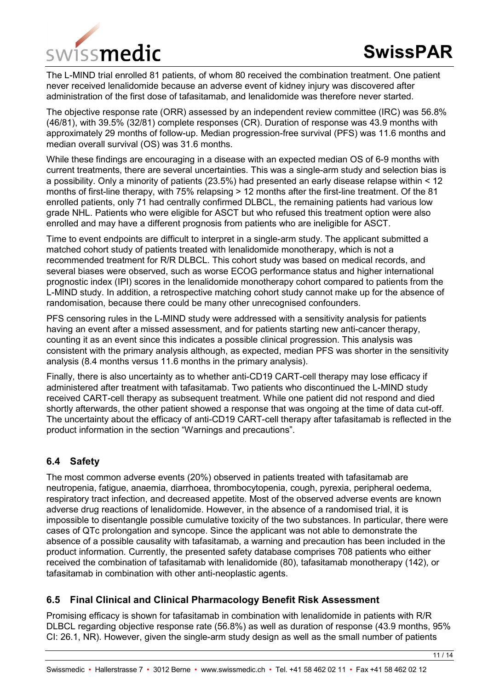

The L-MIND trial enrolled 81 patients, of whom 80 received the combination treatment. One patient never received lenalidomide because an adverse event of kidney injury was discovered after administration of the first dose of tafasitamab, and lenalidomide was therefore never started.

The objective response rate (ORR) assessed by an independent review committee (IRC) was 56.8% (46/81), with 39.5% (32/81) complete responses (CR). Duration of response was 43.9 months with approximately 29 months of follow-up. Median progression-free survival (PFS) was 11.6 months and median overall survival (OS) was 31.6 months.

While these findings are encouraging in a disease with an expected median OS of 6-9 months with current treatments, there are several uncertainties. This was a single-arm study and selection bias is a possibility. Only a minority of patients (23.5%) had presented an early disease relapse within < 12 months of first-line therapy, with 75% relapsing > 12 months after the first-line treatment. Of the 81 enrolled patients, only 71 had centrally confirmed DLBCL, the remaining patients had various low grade NHL. Patients who were eligible for ASCT but who refused this treatment option were also enrolled and may have a different prognosis from patients who are ineligible for ASCT.

Time to event endpoints are difficult to interpret in a single-arm study. The applicant submitted a matched cohort study of patients treated with lenalidomide monotherapy, which is not a recommended treatment for R/R DLBCL. This cohort study was based on medical records, and several biases were observed, such as worse ECOG performance status and higher international prognostic index (IPI) scores in the lenalidomide monotherapy cohort compared to patients from the L-MIND study. In addition, a retrospective matching cohort study cannot make up for the absence of randomisation, because there could be many other unrecognised confounders.

PFS censoring rules in the L-MIND study were addressed with a sensitivity analysis for patients having an event after a missed assessment, and for patients starting new anti-cancer therapy, counting it as an event since this indicates a possible clinical progression. This analysis was consistent with the primary analysis although, as expected, median PFS was shorter in the sensitivity analysis (8.4 months versus 11.6 months in the primary analysis).

Finally, there is also uncertainty as to whether anti-CD19 CART-cell therapy may lose efficacy if administered after treatment with tafasitamab. Two patients who discontinued the L-MIND study received CART-cell therapy as subsequent treatment. While one patient did not respond and died shortly afterwards, the other patient showed a response that was ongoing at the time of data cut-off. The uncertainty about the efficacy of anti-CD19 CART-cell therapy after tafasitamab is reflected in the product information in the section "Warnings and precautions".

## <span id="page-10-0"></span>**6.4 Safety**

The most common adverse events (20%) observed in patients treated with tafasitamab are neutropenia, fatigue, anaemia, diarrhoea, thrombocytopenia, cough, pyrexia, peripheral oedema, respiratory tract infection, and decreased appetite. Most of the observed adverse events are known adverse drug reactions of lenalidomide. However, in the absence of a randomised trial, it is impossible to disentangle possible cumulative toxicity of the two substances. In particular, there were cases of QTc prolongation and syncope. Since the applicant was not able to demonstrate the absence of a possible causality with tafasitamab, a warning and precaution has been included in the product information. Currently, the presented safety database comprises 708 patients who either received the combination of tafasitamab with lenalidomide (80), tafasitamab monotherapy (142), or tafasitamab in combination with other anti-neoplastic agents.

#### <span id="page-10-1"></span>**6.5 Final Clinical and Clinical Pharmacology Benefit Risk Assessment**

Promising efficacy is shown for tafasitamab in combination with lenalidomide in patients with R/R DLBCL regarding objective response rate (56.8%) as well as duration of response (43.9 months, 95% CI: 26.1, NR). However, given the single-arm study design as well as the small number of patients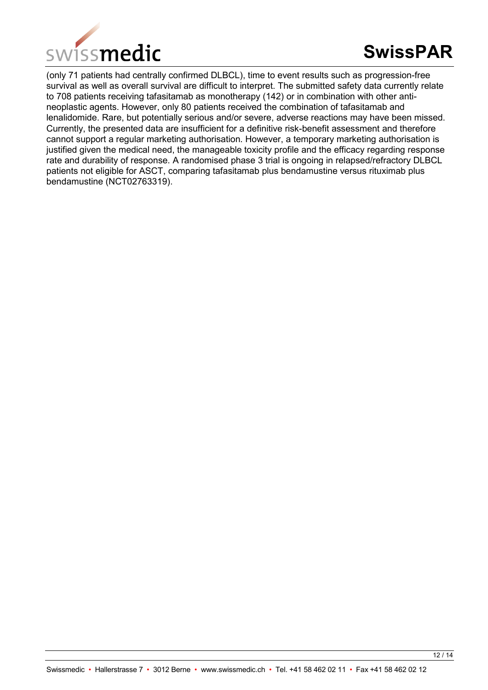

(only 71 patients had centrally confirmed DLBCL), time to event results such as progression-free survival as well as overall survival are difficult to interpret. The submitted safety data currently relate to 708 patients receiving tafasitamab as monotherapy (142) or in combination with other antineoplastic agents. However, only 80 patients received the combination of tafasitamab and lenalidomide. Rare, but potentially serious and/or severe, adverse reactions may have been missed. Currently, the presented data are insufficient for a definitive risk-benefit assessment and therefore cannot support a regular marketing authorisation. However, a temporary marketing authorisation is justified given the medical need, the manageable toxicity profile and the efficacy regarding response rate and durability of response. A randomised phase 3 trial is ongoing in relapsed/refractory DLBCL patients not eligible for ASCT, comparing tafasitamab plus bendamustine versus rituximab plus bendamustine (NCT02763319).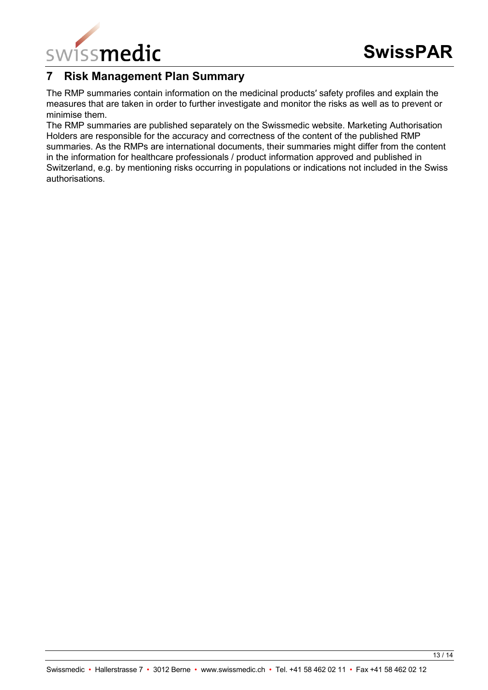

## <span id="page-12-0"></span>**7 Risk Management Plan Summary**

The RMP summaries contain information on the medicinal products′ safety profiles and explain the measures that are taken in order to further investigate and monitor the risks as well as to prevent or minimise them.

The RMP summaries are published separately on the Swissmedic website. Marketing Authorisation Holders are responsible for the accuracy and correctness of the content of the published RMP summaries. As the RMPs are international documents, their summaries might differ from the content in the information for healthcare professionals / product information approved and published in Switzerland, e.g. by mentioning risks occurring in populations or indications not included in the Swiss authorisations.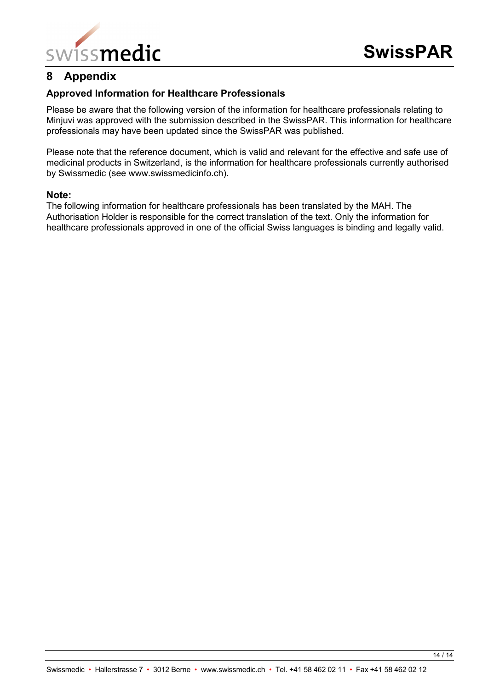

## <span id="page-13-0"></span>**8 Appendix**

#### **Approved Information for Healthcare Professionals**

Please be aware that the following version of the information for healthcare professionals relating to Minjuvi was approved with the submission described in the SwissPAR. This information for healthcare professionals may have been updated since the SwissPAR was published.

Please note that the reference document, which is valid and relevant for the effective and safe use of medicinal products in Switzerland, is the information for healthcare professionals currently authorised by Swissmedic (see www.swissmedicinfo.ch).

#### **Note:**

The following information for healthcare professionals has been translated by the MAH. The Authorisation Holder is responsible for the correct translation of the text. Only the information for healthcare professionals approved in one of the official Swiss languages is binding and legally valid.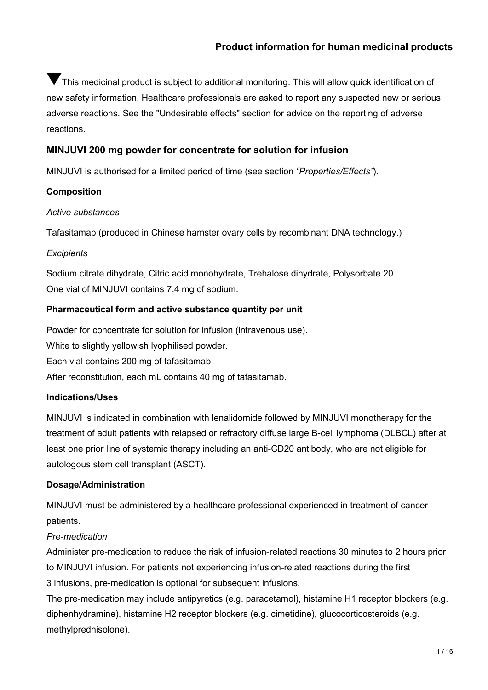This medicinal product is subject to additional monitoring. This will allow quick identification of new safety information. Healthcare professionals are asked to report any suspected new or serious adverse reactions. See the "Undesirable effects" section for advice on the reporting of adverse reactions.

#### **MINJUVI 200 mg powder for concentrate for solution for infusion**

MINJUVI is authorised for a limited period of time (see section *"Properties/Effects"*).

#### **Composition**

#### *Active substances*

Tafasitamab (produced in Chinese hamster ovary cells by recombinant DNA technology.)

#### *Excipients*

Sodium citrate dihydrate, Citric acid monohydrate, Trehalose dihydrate, Polysorbate 20 One vial of MINJUVI contains 7.4 mg of sodium.

#### **Pharmaceutical form and active substance quantity per unit**

Powder for concentrate for solution for infusion (intravenous use). White to slightly yellowish lyophilised powder. Each vial contains 200 mg of tafasitamab. After reconstitution, each mL contains 40 mg of tafasitamab.

### **Indications/Uses**

MINJUVI is indicated in combination with lenalidomide followed by MINJUVI monotherapy for the treatment of adult patients with relapsed or refractory diffuse large B-cell lymphoma (DLBCL) after at least one prior line of systemic therapy including an anti-CD20 antibody, who are not eligible for autologous stem cell transplant (ASCT).

#### **Dosage/Administration**

MINJUVI must be administered by a healthcare professional experienced in treatment of cancer patients.

#### *Pre-medication*

Administer pre-medication to reduce the risk of infusion-related reactions 30 minutes to 2 hours prior to MINJUVI infusion. For patients not experiencing infusion-related reactions during the first 3 infusions, pre-medication is optional for subsequent infusions.

The pre-medication may include antipyretics (e.g. paracetamol), histamine H1 receptor blockers (e.g. diphenhydramine), histamine H2 receptor blockers (e.g. cimetidine), glucocorticosteroids (e.g. methylprednisolone).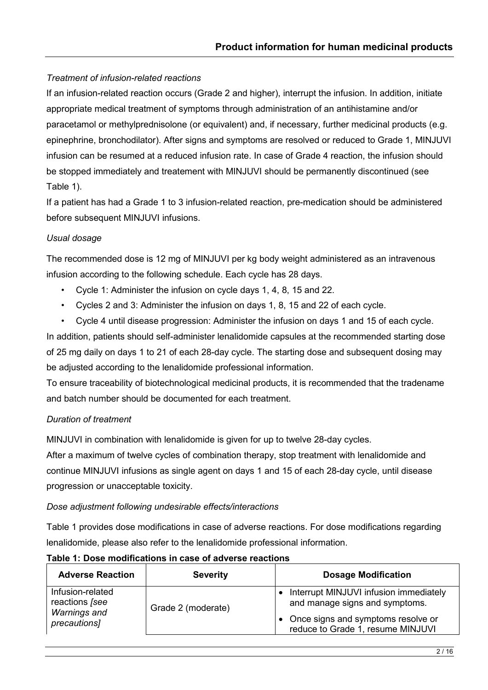#### *Treatment of infusion-related reactions*

If an infusion-related reaction occurs (Grade 2 and higher), interrupt the infusion. In addition, initiate appropriate medical treatment of symptoms through administration of an antihistamine and/or paracetamol or methylprednisolone (or equivalent) and, if necessary, further medicinal products (e.g. epinephrine, bronchodilator). After signs and symptoms are resolved or reduced to Grade 1, MINJUVI infusion can be resumed at a reduced infusion rate. In case of Grade 4 reaction, the infusion should be stopped immediately and treatement with MINJUVI should be permanently discontinued (see Table 1).

If a patient has had a Grade 1 to 3 infusion-related reaction, pre-medication should be administered before subsequent MINJUVI infusions.

#### *Usual dosage*

The recommended dose is 12 mg of MINJUVI per kg body weight administered as an intravenous infusion according to the following schedule. Each cycle has 28 days.

- Cycle 1: Administer the infusion on cycle days 1, 4, 8, 15 and 22.
- Cycles 2 and 3: Administer the infusion on days 1, 8, 15 and 22 of each cycle.
- Cycle 4 until disease progression: Administer the infusion on days 1 and 15 of each cycle.

In addition, patients should self-administer lenalidomide capsules at the recommended starting dose of 25 mg daily on days 1 to 21 of each 28-day cycle. The starting dose and subsequent dosing may be adjusted according to the lenalidomide professional information.

To ensure traceability of biotechnological medicinal products, it is recommended that the tradename and batch number should be documented for each treatment.

#### *Duration of treatment*

MINJUVI in combination with lenalidomide is given for up to twelve 28-day cycles.

After a maximum of twelve cycles of combination therapy, stop treatment with lenalidomide and continue MINJUVI infusions as single agent on days 1 and 15 of each 28-day cycle, until disease progression or unacceptable toxicity.

#### *Dose adjustment following undesirable effects/interactions*

Table 1 provides dose modifications in case of adverse reactions. For dose modifications regarding lenalidomide, please also refer to the lenalidomide professional information.

| <b>Adverse Reaction</b>                                   | <b>Severity</b>    | <b>Dosage Modification</b>                                                                                     |
|-----------------------------------------------------------|--------------------|----------------------------------------------------------------------------------------------------------------|
| Infusion-related<br>reactions [see<br><b>Warnings and</b> | Grade 2 (moderate) | Interrupt MINJUVI infusion immediately<br>and manage signs and symptoms.<br>Once signs and symptoms resolve or |
| precautions]                                              |                    | reduce to Grade 1, resume MINJUVI                                                                              |

#### **Table 1: Dose modifications in case of adverse reactions**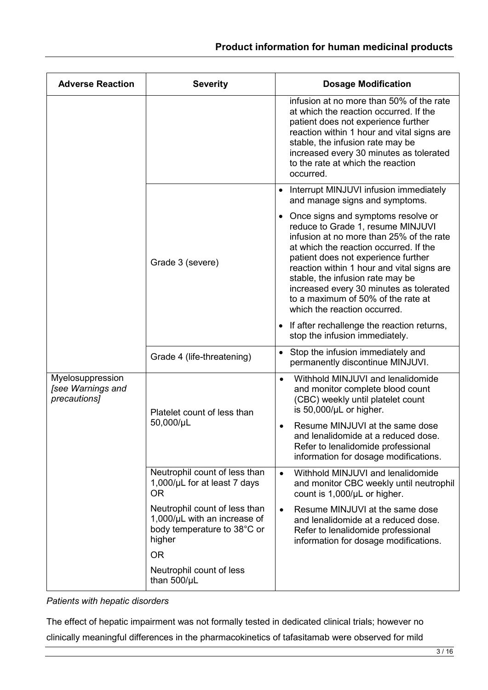| <b>Adverse Reaction</b>                               | <b>Severity</b>                                                                                             | <b>Dosage Modification</b>                                                                                                                                                                                                                                                                                                                                                                                           |
|-------------------------------------------------------|-------------------------------------------------------------------------------------------------------------|----------------------------------------------------------------------------------------------------------------------------------------------------------------------------------------------------------------------------------------------------------------------------------------------------------------------------------------------------------------------------------------------------------------------|
|                                                       |                                                                                                             | infusion at no more than 50% of the rate<br>at which the reaction occurred. If the<br>patient does not experience further<br>reaction within 1 hour and vital signs are<br>stable, the infusion rate may be<br>increased every 30 minutes as tolerated<br>to the rate at which the reaction<br>occurred.                                                                                                             |
|                                                       | Grade 3 (severe)                                                                                            | Interrupt MINJUVI infusion immediately<br>$\bullet$<br>and manage signs and symptoms.                                                                                                                                                                                                                                                                                                                                |
|                                                       |                                                                                                             | Once signs and symptoms resolve or<br>$\bullet$<br>reduce to Grade 1, resume MINJUVI<br>infusion at no more than 25% of the rate<br>at which the reaction occurred. If the<br>patient does not experience further<br>reaction within 1 hour and vital signs are<br>stable, the infusion rate may be<br>increased every 30 minutes as tolerated<br>to a maximum of 50% of the rate at<br>which the reaction occurred. |
|                                                       |                                                                                                             | If after rechallenge the reaction returns,<br>stop the infusion immediately.                                                                                                                                                                                                                                                                                                                                         |
|                                                       | Grade 4 (life-threatening)                                                                                  | Stop the infusion immediately and<br>$\bullet$<br>permanently discontinue MINJUVI.                                                                                                                                                                                                                                                                                                                                   |
| Myelosuppression<br>[see Warnings and<br>precautions] | Platelet count of less than<br>50,000/µL                                                                    | Withhold MINJUVI and lenalidomide<br>$\bullet$<br>and monitor complete blood count<br>(CBC) weekly until platelet count<br>is 50,000/µL or higher.                                                                                                                                                                                                                                                                   |
|                                                       |                                                                                                             | Resume MINJUVI at the same dose<br>and lenalidomide at a reduced dose.<br>Refer to lenalidomide professional<br>information for dosage modifications.                                                                                                                                                                                                                                                                |
|                                                       | Neutrophil count of less than<br>1,000/µL for at least 7 days<br><b>OR</b>                                  | Withhold MINJUVI and lenalidomide<br>$\bullet$<br>and monitor CBC weekly until neutrophil<br>count is 1,000/µL or higher.                                                                                                                                                                                                                                                                                            |
|                                                       | Neutrophil count of less than<br>$1,000/\mu L$ with an increase of<br>body temperature to 38°C or<br>higher | Resume MINJUVI at the same dose<br>$\bullet$<br>and lenalidomide at a reduced dose.<br>Refer to lenalidomide professional<br>information for dosage modifications.                                                                                                                                                                                                                                                   |
|                                                       | <b>OR</b><br>Neutrophil count of less                                                                       |                                                                                                                                                                                                                                                                                                                                                                                                                      |
|                                                       | than $500/\mu L$                                                                                            |                                                                                                                                                                                                                                                                                                                                                                                                                      |

*Patients with hepatic disorders*

The effect of hepatic impairment was not formally tested in dedicated clinical trials; however no clinically meaningful differences in the pharmacokinetics of tafasitamab were observed for mild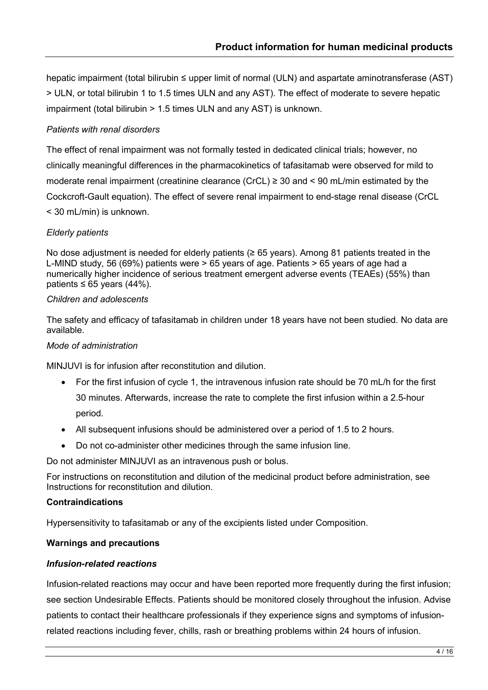hepatic impairment (total bilirubin ≤ upper limit of normal (ULN) and aspartate aminotransferase (AST) > ULN, or total bilirubin 1 to 1.5 times ULN and any AST). The effect of moderate to severe hepatic impairment (total bilirubin > 1.5 times ULN and any AST) is unknown.

#### *Patients with renal disorders*

The effect of renal impairment was not formally tested in dedicated clinical trials; however, no clinically meaningful differences in the pharmacokinetics of tafasitamab were observed for mild to moderate renal impairment (creatinine clearance (CrCL) ≥ 30 and < 90 mL/min estimated by the Cockcroft-Gault equation). The effect of severe renal impairment to end-stage renal disease (CrCL < 30 mL/min) is unknown.

#### *Elderly patients*

No dose adjustment is needed for elderly patients (≥ 65 years). Among 81 patients treated in the L-MIND study, 56 (69%) patients were > 65 years of age. Patients > 65 years of age had a numerically higher incidence of serious treatment emergent adverse events (TEAEs) (55%) than patients ≤ 65 years  $(44%)$ .

#### *Children and adolescents*

The safety and efficacy of tafasitamab in children under 18 years have not been studied. No data are available.

#### *Mode of administration*

MINJUVI is for infusion after reconstitution and dilution.

- For the first infusion of cycle 1, the intravenous infusion rate should be 70 mL/h for the first 30 minutes. Afterwards, increase the rate to complete the first infusion within a 2.5-hour period.
- All subsequent infusions should be administered over a period of 1.5 to 2 hours.
- Do not co-administer other medicines through the same infusion line.

Do not administer MINJUVI as an intravenous push or bolus.

For instructions on reconstitution and dilution of the medicinal product before administration, see Instructions for reconstitution and dilution.

#### **Contraindications**

Hypersensitivity to tafasitamab or any of the excipients listed under Composition.

#### **Warnings and precautions**

#### *Infusion-related reactions*

Infusion-related reactions may occur and have been reported more frequently during the first infusion; see section Undesirable Effects. Patients should be monitored closely throughout the infusion. Advise patients to contact their healthcare professionals if they experience signs and symptoms of infusionrelated reactions including fever, chills, rash or breathing problems within 24 hours of infusion.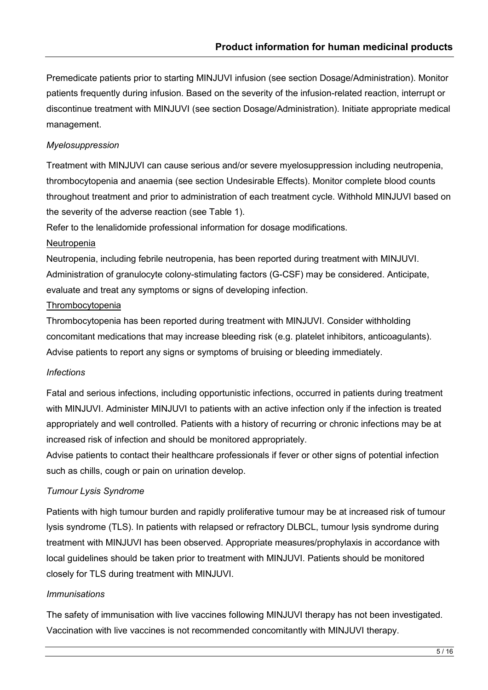Premedicate patients prior to starting MINJUVI infusion (see section Dosage/Administration). Monitor patients frequently during infusion. Based on the severity of the infusion-related reaction, interrupt or discontinue treatment with MINJUVI (see section Dosage/Administration). Initiate appropriate medical management.

#### *Myelosuppression*

Treatment with MINJUVI can cause serious and/or severe myelosuppression including neutropenia, thrombocytopenia and anaemia (see section Undesirable Effects). Monitor complete blood counts throughout treatment and prior to administration of each treatment cycle. Withhold MINJUVI based on the severity of the adverse reaction (see Table 1).

Refer to the lenalidomide professional information for dosage modifications.

#### Neutropenia

Neutropenia, including febrile neutropenia, has been reported during treatment with MINJUVI. Administration of granulocyte colony-stimulating factors (G-CSF) may be considered. Anticipate, evaluate and treat any symptoms or signs of developing infection.

#### Thrombocytopenia

Thrombocytopenia has been reported during treatment with MINJUVI. Consider withholding concomitant medications that may increase bleeding risk (e.g. platelet inhibitors, anticoagulants). Advise patients to report any signs or symptoms of bruising or bleeding immediately.

#### *Infections*

Fatal and serious infections, including opportunistic infections, occurred in patients during treatment with MINJUVI. Administer MINJUVI to patients with an active infection only if the infection is treated appropriately and well controlled. Patients with a history of recurring or chronic infections may be at increased risk of infection and should be monitored appropriately.

Advise patients to contact their healthcare professionals if fever or other signs of potential infection such as chills, cough or pain on urination develop.

#### *Tumour Lysis Syndrome*

Patients with high tumour burden and rapidly proliferative tumour may be at increased risk of tumour lysis syndrome (TLS). In patients with relapsed or refractory DLBCL, tumour lysis syndrome during treatment with MINJUVI has been observed. Appropriate measures/prophylaxis in accordance with local guidelines should be taken prior to treatment with MINJUVI. Patients should be monitored closely for TLS during treatment with MINJUVI.

#### *Immunisations*

The safety of immunisation with live vaccines following MINJUVI therapy has not been investigated. Vaccination with live vaccines is not recommended concomitantly with MINJUVI therapy.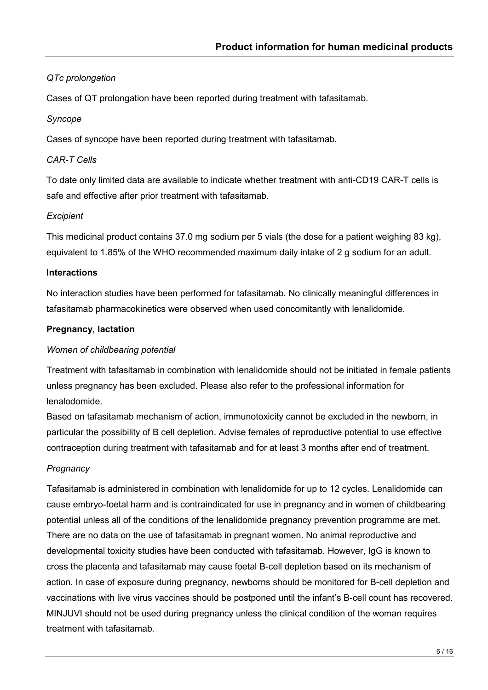### *QTc prolongation*

Cases of QT prolongation have been reported during treatment with tafasitamab.

#### *Syncope*

Cases of syncope have been reported during treatment with tafasitamab.

#### *CAR-T Cells*

To date only limited data are available to indicate whether treatment with anti-CD19 CAR-T cells is safe and effective after prior treatment with tafasitamab.

#### *Excipient*

This medicinal product contains 37.0 mg sodium per 5 vials (the dose for a patient weighing 83 kg), equivalent to 1.85% of the WHO recommended maximum daily intake of 2 g sodium for an adult.

#### **Interactions**

No interaction studies have been performed for tafasitamab. No clinically meaningful differences in tafasitamab pharmacokinetics were observed when used concomitantly with lenalidomide.

#### **Pregnancy, lactation**

#### *Women of childbearing potential*

Treatment with tafasitamab in combination with lenalidomide should not be initiated in female patients unless pregnancy has been excluded. Please also refer to the professional information for lenalodomide.

Based on tafasitamab mechanism of action, immunotoxicity cannot be excluded in the newborn, in particular the possibility of B cell depletion. Advise females of reproductive potential to use effective contraception during treatment with tafasitamab and for at least 3 months after end of treatment.

#### *Pregnancy*

Tafasitamab is administered in combination with lenalidomide for up to 12 cycles. Lenalidomide can cause embryo-foetal harm and is contraindicated for use in pregnancy and in women of childbearing potential unless all of the conditions of the lenalidomide pregnancy prevention programme are met. There are no data on the use of tafasitamab in pregnant women. No animal reproductive and developmental toxicity studies have been conducted with tafasitamab. However, IgG is known to cross the placenta and tafasitamab may cause foetal B-cell depletion based on its mechanism of action. In case of exposure during pregnancy, newborns should be monitored for B-cell depletion and vaccinations with live virus vaccines should be postponed until the infant's B-cell count has recovered. MINJUVI should not be used during pregnancy unless the clinical condition of the woman requires treatment with tafasitamab.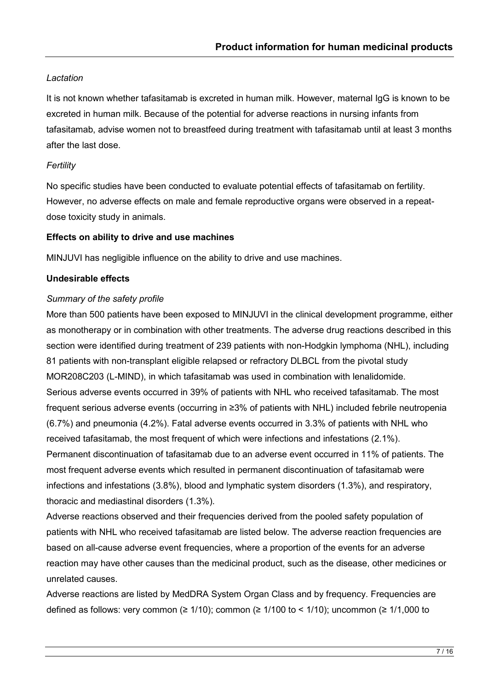#### *Lactation*

It is not known whether tafasitamab is excreted in human milk. However, maternal IgG is known to be excreted in human milk. Because of the potential for adverse reactions in nursing infants from tafasitamab, advise women not to breastfeed during treatment with tafasitamab until at least 3 months after the last dose.

#### *Fertility*

No specific studies have been conducted to evaluate potential effects of tafasitamab on fertility. However, no adverse effects on male and female reproductive organs were observed in a repeatdose toxicity study in animals.

#### **Effects on ability to drive and use machines**

MINJUVI has negligible influence on the ability to drive and use machines.

#### **Undesirable effects**

#### *Summary of the safety profile*

More than 500 patients have been exposed to MINJUVI in the clinical development programme, either as monotherapy or in combination with other treatments. The adverse drug reactions described in this section were identified during treatment of 239 patients with non-Hodgkin lymphoma (NHL), including 81 patients with non-transplant eligible relapsed or refractory DLBCL from the pivotal study MOR208C203 (L-MIND), in which tafasitamab was used in combination with lenalidomide. Serious adverse events occurred in 39% of patients with NHL who received tafasitamab. The most frequent serious adverse events (occurring in ≥3% of patients with NHL) included febrile neutropenia (6.7%) and pneumonia (4.2%). Fatal adverse events occurred in 3.3% of patients with NHL who received tafasitamab, the most frequent of which were infections and infestations (2.1%). Permanent discontinuation of tafasitamab due to an adverse event occurred in 11% of patients. The most frequent adverse events which resulted in permanent discontinuation of tafasitamab were infections and infestations (3.8%), blood and lymphatic system disorders (1.3%), and respiratory, thoracic and mediastinal disorders (1.3%).

Adverse reactions observed and their frequencies derived from the pooled safety population of patients with NHL who received tafasitamab are listed below. The adverse reaction frequencies are based on all-cause adverse event frequencies, where a proportion of the events for an adverse reaction may have other causes than the medicinal product, such as the disease, other medicines or unrelated causes.

Adverse reactions are listed by MedDRA System Organ Class and by frequency. Frequencies are defined as follows: very common ( $\geq 1/10$ ); common ( $\geq 1/100$  to < 1/10); uncommon ( $\geq 1/1,000$  to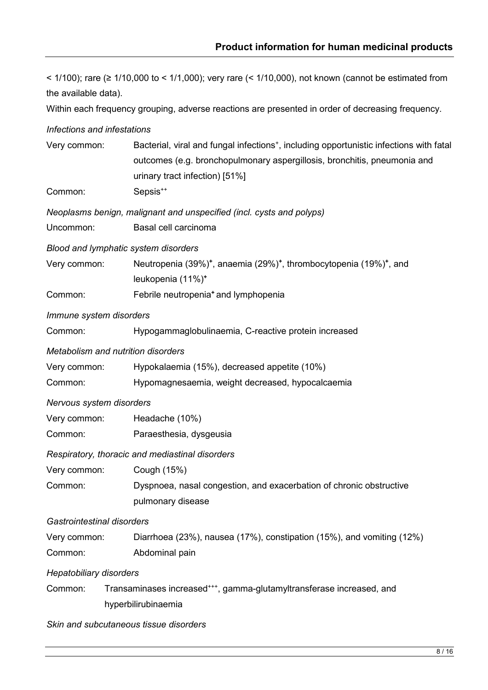< 1/100); rare (≥ 1/10,000 to < 1/1,000); very rare (< 1/10,000), not known (cannot be estimated from the available data).

Within each frequency grouping, adverse reactions are presented in order of decreasing frequency.

*Infections and infestations*

| Very common:                              | Bacterial, viral and fungal infections <sup>+</sup> , including opportunistic infections with fatal<br>outcomes (e.g. bronchopulmonary aspergillosis, bronchitis, pneumonia and<br>urinary tract infection) [51%] |  |  |
|-------------------------------------------|-------------------------------------------------------------------------------------------------------------------------------------------------------------------------------------------------------------------|--|--|
| Common:                                   | Sepsis <sup>++</sup>                                                                                                                                                                                              |  |  |
|                                           | Neoplasms benign, malignant and unspecified (incl. cysts and polyps)                                                                                                                                              |  |  |
| Uncommon:                                 | Basal cell carcinoma                                                                                                                                                                                              |  |  |
| Blood and lymphatic system disorders      |                                                                                                                                                                                                                   |  |  |
| Very common:                              | Neutropenia (39%) <sup>+</sup> , anaemia (29%) <sup>+</sup> , thrombocytopenia (19%) <sup>+</sup> , and<br>leukopenia (11%) <sup>+</sup>                                                                          |  |  |
| Common:                                   | Febrile neutropenia <sup>+</sup> and lymphopenia                                                                                                                                                                  |  |  |
| Immune system disorders                   |                                                                                                                                                                                                                   |  |  |
| Common:                                   | Hypogammaglobulinaemia, C-reactive protein increased                                                                                                                                                              |  |  |
| <b>Metabolism and nutrition disorders</b> |                                                                                                                                                                                                                   |  |  |
| Very common:                              | Hypokalaemia (15%), decreased appetite (10%)                                                                                                                                                                      |  |  |
| Common:                                   | Hypomagnesaemia, weight decreased, hypocalcaemia                                                                                                                                                                  |  |  |
| Nervous system disorders                  |                                                                                                                                                                                                                   |  |  |
| Very common:                              | Headache (10%)                                                                                                                                                                                                    |  |  |
| Common:                                   | Paraesthesia, dysgeusia                                                                                                                                                                                           |  |  |
|                                           | Respiratory, thoracic and mediastinal disorders                                                                                                                                                                   |  |  |
| Very common:                              | Cough (15%)                                                                                                                                                                                                       |  |  |
| Common:                                   | Dyspnoea, nasal congestion, and exacerbation of chronic obstructive<br>pulmonary disease                                                                                                                          |  |  |
| Gastrointestinal disorders                |                                                                                                                                                                                                                   |  |  |
| Very common:                              | Diarrhoea (23%), nausea (17%), constipation (15%), and vomiting (12%)                                                                                                                                             |  |  |
| Common:                                   | Abdominal pain                                                                                                                                                                                                    |  |  |
| <b>Hepatobiliary disorders</b>            |                                                                                                                                                                                                                   |  |  |
| Common:                                   | Transaminases increased***, gamma-glutamyltransferase increased, and<br>hyperbilirubinaemia                                                                                                                       |  |  |
|                                           | Skin and subcutaneous tissue disorders                                                                                                                                                                            |  |  |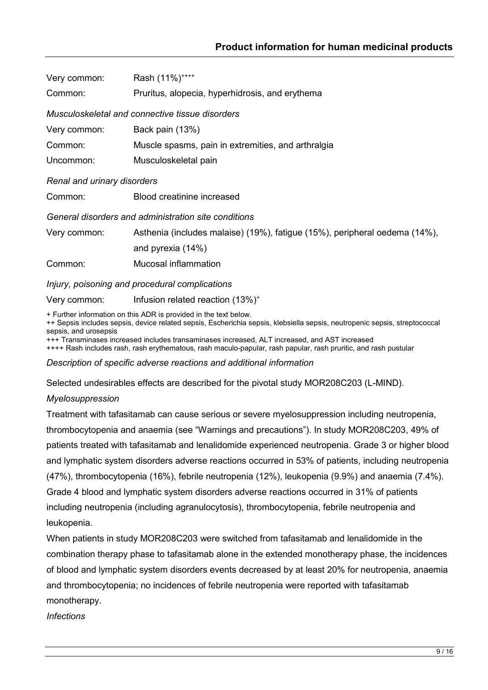| Very common:                | Rash (11%) <sup>++++</sup>                                                 |
|-----------------------------|----------------------------------------------------------------------------|
| Common:                     | Pruritus, alopecia, hyperhidrosis, and erythema                            |
|                             | Musculoskeletal and connective tissue disorders                            |
| Very common:                | Back pain (13%)                                                            |
| Common:                     | Muscle spasms, pain in extremities, and arthralgia                         |
| Uncommon:                   | Musculoskeletal pain                                                       |
| Renal and urinary disorders |                                                                            |
| Common:                     | Blood creatinine increased                                                 |
|                             | General disorders and administration site conditions                       |
| Very common:                | Asthenia (includes malaise) (19%), fatigue (15%), peripheral oedema (14%), |
|                             | and pyrexia (14%)                                                          |
| Common:                     | Mucosal inflammation                                                       |
|                             | Injury, poisoning and procedural complications                             |

Very common: Infusion related reaction (13%)<sup>+</sup>

+ Further information on this ADR is provided in the text below.

++ Sepsis includes sepsis, device related sepsis, Escherichia sepsis, klebsiella sepsis, neutropenic sepsis, streptococcal sepsis, and urosepsis

+++ Transminases increased includes transaminases increased, ALT increased, and AST increased

++++ Rash includes rash, rash erythematous, rash maculo-papular, rash papular, rash pruritic, and rash pustular

*Description of specific adverse reactions and additional information*

Selected undesirables effects are described for the pivotal study MOR208C203 (L-MIND).

#### *Myelosuppression*

Treatment with tafasitamab can cause serious or severe myelosuppression including neutropenia, thrombocytopenia and anaemia (see "Warnings and precautions"). In study MOR208C203, 49% of patients treated with tafasitamab and lenalidomide experienced neutropenia. Grade 3 or higher blood and lymphatic system disorders adverse reactions occurred in 53% of patients, including neutropenia (47%), thrombocytopenia (16%), febrile neutropenia (12%), leukopenia (9.9%) and anaemia (7.4%). Grade 4 blood and lymphatic system disorders adverse reactions occurred in 31% of patients including neutropenia (including agranulocytosis), thrombocytopenia, febrile neutropenia and leukopenia.

When patients in study MOR208C203 were switched from tafasitamab and lenalidomide in the combination therapy phase to tafasitamab alone in the extended monotherapy phase, the incidences of blood and lymphatic system disorders events decreased by at least 20% for neutropenia, anaemia and thrombocytopenia; no incidences of febrile neutropenia were reported with tafasitamab monotherapy.

*Infections*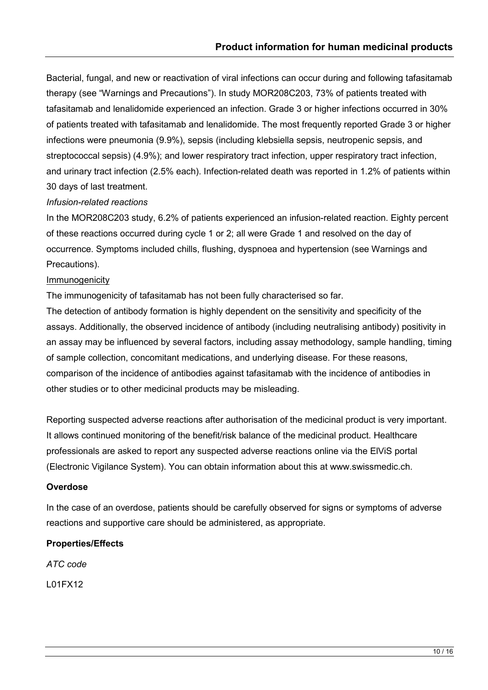Bacterial, fungal, and new or reactivation of viral infections can occur during and following tafasitamab therapy (see "Warnings and Precautions"). In study MOR208C203, 73% of patients treated with tafasitamab and lenalidomide experienced an infection. Grade 3 or higher infections occurred in 30% of patients treated with tafasitamab and lenalidomide. The most frequently reported Grade 3 or higher infections were pneumonia (9.9%), sepsis (including klebsiella sepsis, neutropenic sepsis, and streptococcal sepsis) (4.9%); and lower respiratory tract infection, upper respiratory tract infection, and urinary tract infection (2.5% each). Infection-related death was reported in 1.2% of patients within 30 days of last treatment.

#### *Infusion-related reactions*

In the MOR208C203 study, 6.2% of patients experienced an infusion-related reaction. Eighty percent of these reactions occurred during cycle 1 or 2; all were Grade 1 and resolved on the day of occurrence. Symptoms included chills, flushing, dyspnoea and hypertension (see Warnings and Precautions).

#### Immunogenicity

The immunogenicity of tafasitamab has not been fully characterised so far.

The detection of antibody formation is highly dependent on the sensitivity and specificity of the assays. Additionally, the observed incidence of antibody (including neutralising antibody) positivity in an assay may be influenced by several factors, including assay methodology, sample handling, timing of sample collection, concomitant medications, and underlying disease. For these reasons, comparison of the incidence of antibodies against tafasitamab with the incidence of antibodies in other studies or to other medicinal products may be misleading.

Reporting suspected adverse reactions after authorisation of the medicinal product is very important. It allows continued monitoring of the benefit/risk balance of the medicinal product. Healthcare professionals are asked to report any suspected adverse reactions online via the ElViS portal (Electronic Vigilance System). You can obtain information about this at www.swissmedic.ch.

#### **Overdose**

In the case of an overdose, patients should be carefully observed for signs or symptoms of adverse reactions and supportive care should be administered, as appropriate.

#### **Properties/Effects**

*ATC code*

L01FX12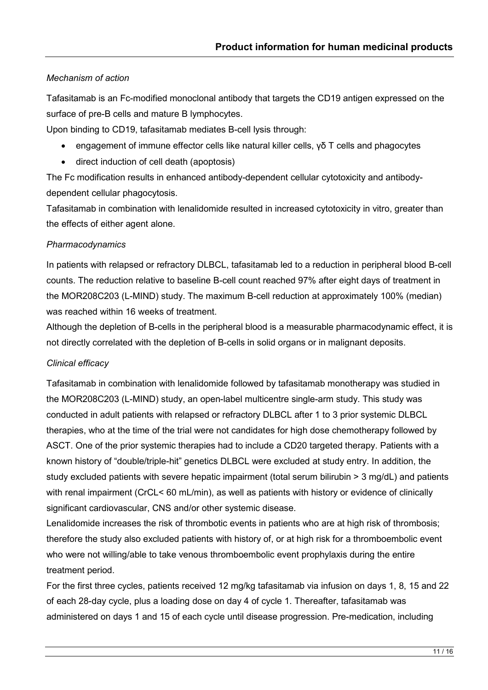#### *Mechanism of action*

Tafasitamab is an Fc-modified monoclonal antibody that targets the CD19 antigen expressed on the surface of pre-B cells and mature B lymphocytes.

Upon binding to CD19, tafasitamab mediates B-cell lysis through:

- engagement of immune effector cells like natural killer cells, γδ T cells and phagocytes
- direct induction of cell death (apoptosis)

The Fc modification results in enhanced antibody-dependent cellular cytotoxicity and antibodydependent cellular phagocytosis.

Tafasitamab in combination with lenalidomide resulted in increased cytotoxicity in vitro, greater than the effects of either agent alone.

#### *Pharmacodynamics*

In patients with relapsed or refractory DLBCL, tafasitamab led to a reduction in peripheral blood B-cell counts. The reduction relative to baseline B-cell count reached 97% after eight days of treatment in the MOR208C203 (L-MIND) study. The maximum B-cell reduction at approximately 100% (median) was reached within 16 weeks of treatment.

Although the depletion of B-cells in the peripheral blood is a measurable pharmacodynamic effect, it is not directly correlated with the depletion of B-cells in solid organs or in malignant deposits.

#### *Clinical efficacy*

Tafasitamab in combination with lenalidomide followed by tafasitamab monotherapy was studied in the MOR208C203 (L-MIND) study, an open-label multicentre single-arm study. This study was conducted in adult patients with relapsed or refractory DLBCL after 1 to 3 prior systemic DLBCL therapies, who at the time of the trial were not candidates for high dose chemotherapy followed by ASCT. One of the prior systemic therapies had to include a CD20 targeted therapy. Patients with a known history of "double/triple-hit" genetics DLBCL were excluded at study entry. In addition, the study excluded patients with severe hepatic impairment (total serum bilirubin > 3 mg/dL) and patients with renal impairment (CrCL< 60 mL/min), as well as patients with history or evidence of clinically significant cardiovascular, CNS and/or other systemic disease.

Lenalidomide increases the risk of thrombotic events in patients who are at high risk of thrombosis; therefore the study also excluded patients with history of, or at high risk for a thromboembolic event who were not willing/able to take venous thromboembolic event prophylaxis during the entire treatment period.

For the first three cycles, patients received 12 mg/kg tafasitamab via infusion on days 1, 8, 15 and 22 of each 28-day cycle, plus a loading dose on day 4 of cycle 1. Thereafter, tafasitamab was administered on days 1 and 15 of each cycle until disease progression. Pre-medication, including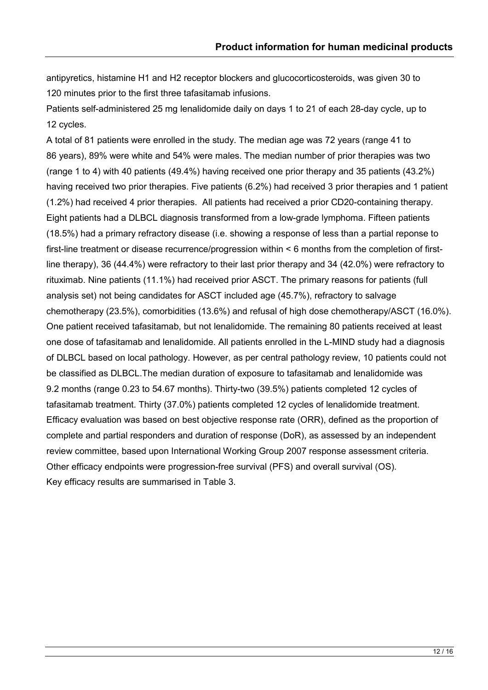antipyretics, histamine H1 and H2 receptor blockers and glucocorticosteroids, was given 30 to 120 minutes prior to the first three tafasitamab infusions.

Patients self-administered 25 mg lenalidomide daily on days 1 to 21 of each 28-day cycle, up to 12 cycles.

A total of 81 patients were enrolled in the study. The median age was 72 years (range 41 to 86 years), 89% were white and 54% were males. The median number of prior therapies was two (range 1 to 4) with 40 patients (49.4%) having received one prior therapy and 35 patients (43.2%) having received two prior therapies. Five patients (6.2%) had received 3 prior therapies and 1 patient (1.2%) had received 4 prior therapies. All patients had received a prior CD20-containing therapy. Eight patients had a DLBCL diagnosis transformed from a low-grade lymphoma. Fifteen patients (18.5%) had a primary refractory disease (i.e. showing a response of less than a partial reponse to first-line treatment or disease recurrence/progression within < 6 months from the completion of firstline therapy), 36 (44.4%) were refractory to their last prior therapy and 34 (42.0%) were refractory to rituximab. Nine patients (11.1%) had received prior ASCT. The primary reasons for patients (full analysis set) not being candidates for ASCT included age (45.7%), refractory to salvage chemotherapy (23.5%), comorbidities (13.6%) and refusal of high dose chemotherapy/ASCT (16.0%). One patient received tafasitamab, but not lenalidomide. The remaining 80 patients received at least one dose of tafasitamab and lenalidomide. All patients enrolled in the L-MIND study had a diagnosis of DLBCL based on local pathology. However, as per central pathology review, 10 patients could not be classified as DLBCL.The median duration of exposure to tafasitamab and lenalidomide was 9.2 months (range 0.23 to 54.67 months). Thirty-two (39.5%) patients completed 12 cycles of tafasitamab treatment. Thirty (37.0%) patients completed 12 cycles of lenalidomide treatment. Efficacy evaluation was based on best objective response rate (ORR), defined as the proportion of complete and partial responders and duration of response (DoR), as assessed by an independent review committee, based upon International Working Group 2007 response assessment criteria. Other efficacy endpoints were progression-free survival (PFS) and overall survival (OS). Key efficacy results are summarised in [Table 3](#page-26-0).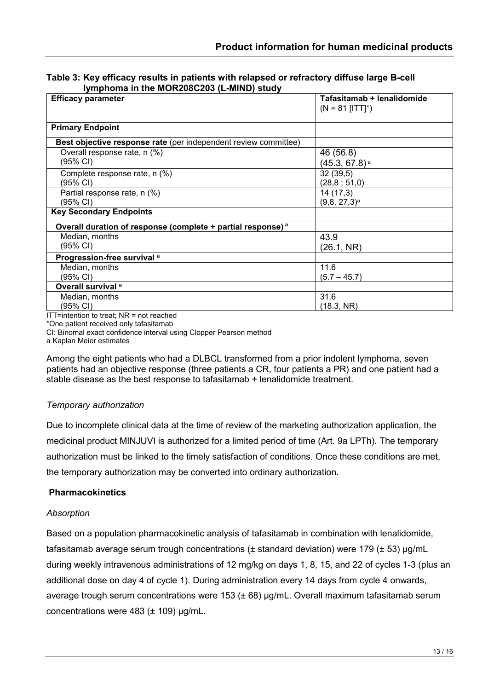<span id="page-26-0"></span>

| Table 3: Key efficacy results in patients with relapsed or refractory diffuse large B-cell |  |
|--------------------------------------------------------------------------------------------|--|
| Iymphoma in the MOR208C203 (L-MIND) study                                                  |  |

| <b>Efficacy parameter</b>                                               | Tafasitamab + lenalidomide<br>$(N = 81$ [ITT]*) |
|-------------------------------------------------------------------------|-------------------------------------------------|
|                                                                         |                                                 |
| <b>Primary Endpoint</b>                                                 |                                                 |
| Best objective response rate (per independent review committee)         |                                                 |
| Overall response rate, n (%)                                            | 46 (56.8)                                       |
| (95% CI)                                                                | $(45.3, 67.8)$ <sup>a</sup>                     |
| Complete response rate, n (%)                                           | 32(39,5)                                        |
| (95% CI)                                                                | (28, 8 ; 51, 0)                                 |
| Partial response rate, n (%)                                            | 14(17,3)                                        |
| (95% CI)                                                                | $(9,8, 27,3)$ <sup>a</sup>                      |
| <b>Key Secondary Endpoints</b>                                          |                                                 |
| Overall duration of response (complete + partial response) <sup>a</sup> |                                                 |
| Median, months                                                          | 43.9                                            |
| (95% CI)                                                                | (26.1, NR)                                      |
| Progression-free survival <sup>a</sup>                                  |                                                 |
| Median, months                                                          | 11.6                                            |
| (95% CI)                                                                | $(5.7 - 45.7)$                                  |
| Overall survival <sup>a</sup>                                           |                                                 |
| Median, months                                                          | 31.6                                            |
| (95% CI)<br>$\sim$ $\sim$ $\sim$ $\sim$ $\sim$                          | (18.3, NR)                                      |

ITT=intention to treat; NR = not reached

\*One patient received only tafasitamab

CI: Binomal exact confidence interval using Clopper Pearson method

a Kaplan Meier estimates

Among the eight patients who had a DLBCL transformed from a prior indolent lymphoma, seven patients had an objective response (three patients a CR, four patients a PR) and one patient had a stable disease as the best response to tafasitamab + lenalidomide treatment.

#### *Temporary authorization*

Due to incomplete clinical data at the time of review of the marketing authorization application, the medicinal product MINJUVI is authorized for a limited period of time (Art. 9a LPTh). The temporary authorization must be linked to the timely satisfaction of conditions. Once these conditions are met, the temporary authorization may be converted into ordinary authorization.

#### **Pharmacokinetics**

#### *Absorption*

Based on a population pharmacokinetic analysis of tafasitamab in combination with lenalidomide, tafasitamab average serum trough concentrations (± standard deviation) were 179 (± 53) μg/mL during weekly intravenous administrations of 12 mg/kg on days 1, 8, 15, and 22 of cycles 1-3 (plus an additional dose on day 4 of cycle 1). During administration every 14 days from cycle 4 onwards, average trough serum concentrations were 153 (± 68) μg/mL. Overall maximum tafasitamab serum concentrations were 483 (± 109) μg/mL.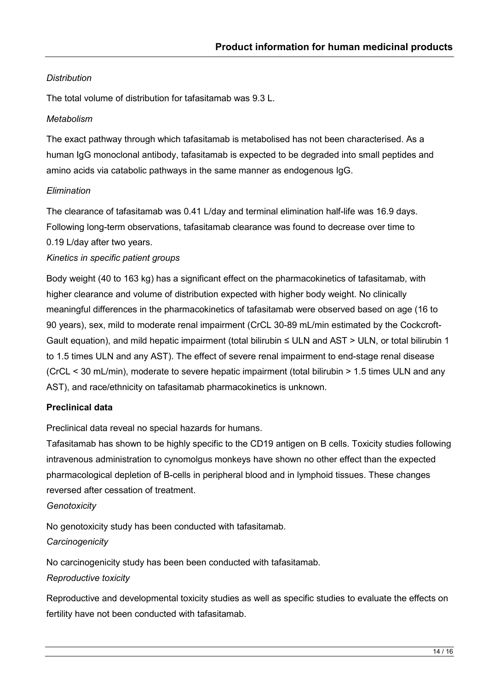#### *Distribution*

The total volume of distribution for tafasitamab was 9.3 L.

#### *Metabolism*

The exact pathway through which tafasitamab is metabolised has not been characterised. As a human IgG monoclonal antibody, tafasitamab is expected to be degraded into small peptides and amino acids via catabolic pathways in the same manner as endogenous IgG.

#### *Elimination*

The clearance of tafasitamab was 0.41 L/day and terminal elimination half-life was 16.9 days. Following long-term observations, tafasitamab clearance was found to decrease over time to

0.19 L/day after two years.

#### *Kinetics in specific patient groups*

Body weight (40 to 163 kg) has a significant effect on the pharmacokinetics of tafasitamab, with higher clearance and volume of distribution expected with higher body weight. No clinically meaningful differences in the pharmacokinetics of tafasitamab were observed based on age (16 to 90 years), sex, mild to moderate renal impairment (CrCL 30-89 mL/min estimated by the Cockcroft-Gault equation), and mild hepatic impairment (total bilirubin ≤ ULN and AST > ULN, or total bilirubin 1 to 1.5 times ULN and any AST). The effect of severe renal impairment to end-stage renal disease (CrCL < 30 mL/min), moderate to severe hepatic impairment (total bilirubin > 1.5 times ULN and any AST), and race/ethnicity on tafasitamab pharmacokinetics is unknown.

#### **Preclinical data**

Preclinical data reveal no special hazards for humans.

Tafasitamab has shown to be highly specific to the CD19 antigen on B cells. Toxicity studies following intravenous administration to cynomolgus monkeys have shown no other effect than the expected pharmacological depletion of B-cells in peripheral blood and in lymphoid tissues. These changes reversed after cessation of treatment.

#### *Genotoxicity*

No genotoxicity study has been conducted with tafasitamab. *Carcinogenicity*

No carcinogenicity study has been been conducted with tafasitamab.

#### *Reproductive toxicity*

Reproductive and developmental toxicity studies as well as specific studies to evaluate the effects on fertility have not been conducted with tafasitamab.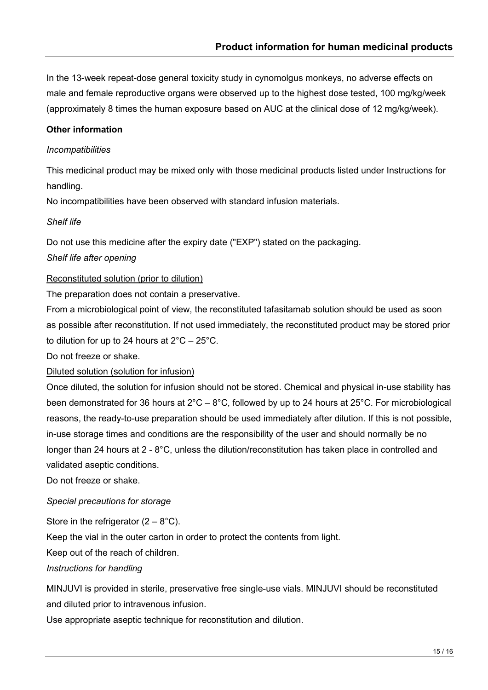In the 13-week repeat-dose general toxicity study in cynomolgus monkeys, no adverse effects on male and female reproductive organs were observed up to the highest dose tested, 100 mg/kg/week (approximately 8 times the human exposure based on AUC at the clinical dose of 12 mg/kg/week).

#### **Other information**

#### *Incompatibilities*

This medicinal product may be mixed only with those medicinal products listed under Instructions for handling.

No incompatibilities have been observed with standard infusion materials.

#### *Shelf life*

Do not use this medicine after the expiry date ("EXP") stated on the packaging.

#### *Shelf life after opening*

#### Reconstituted solution (prior to dilution)

The preparation does not contain a preservative.

From a microbiological point of view, the reconstituted tafasitamab solution should be used as soon as possible after reconstitution. If not used immediately, the reconstituted product may be stored prior to dilution for up to 24 hours at  $2^{\circ}$ C – 25 $^{\circ}$ C.

Do not freeze or shake.

Diluted solution (solution for infusion)

Once diluted, the solution for infusion should not be stored. Chemical and physical in-use stability has been demonstrated for 36 hours at  $2^{\circ}C - 8^{\circ}C$ , followed by up to 24 hours at  $25^{\circ}C$ . For microbiological reasons, the ready-to-use preparation should be used immediately after dilution. If this is not possible, in-use storage times and conditions are the responsibility of the user and should normally be no longer than 24 hours at 2 - 8°C, unless the dilution/reconstitution has taken place in controlled and validated aseptic conditions.

Do not freeze or shake.

#### *Special precautions for storage*

Store in the refrigerator  $(2 - 8^{\circ}C)$ .

Keep the vial in the outer carton in order to protect the contents from light.

Keep out of the reach of children.

#### *Instructions for handling*

MINJUVI is provided in sterile, preservative free single-use vials. MINJUVI should be reconstituted and diluted prior to intravenous infusion.

Use appropriate aseptic technique for reconstitution and dilution.